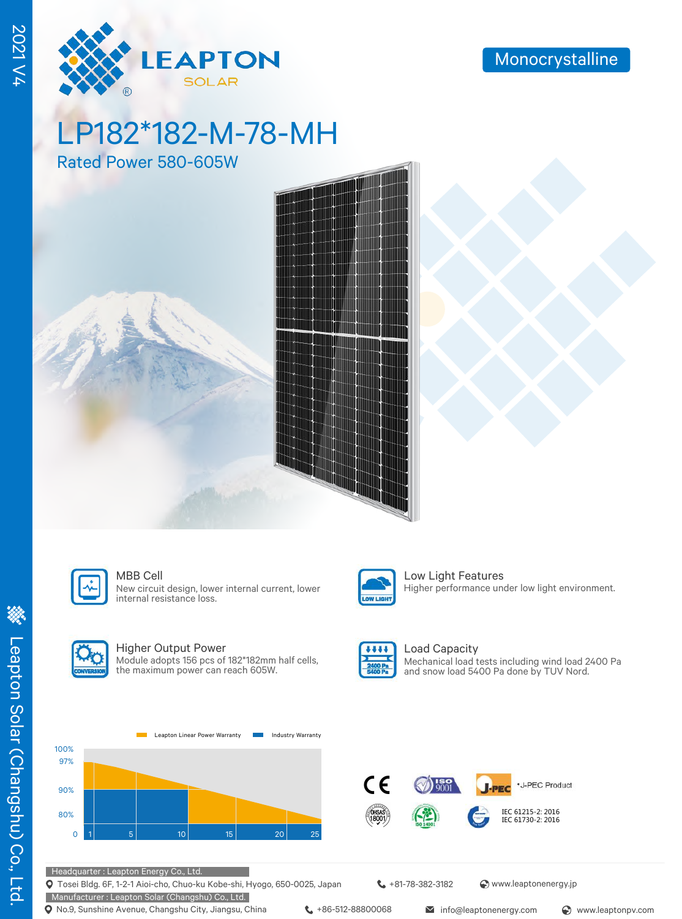

# LP182\*182-M-78-MH

Rated Power 580-605W







New circuit design, lower internal current, lower internal resistance loss.



MBB Cell **Low Light Features** Higher performance under low light environment.



#### Higher Output Power

Module adopts 156 pcs of 182\*182mm half cells, the maximum power can reach 605W.



#### Load Capacity Mechanical load tests including wind load 2400 Pa and snow load 5400 Pa done by TUV Nord.





#### Headquarter : Leapton Energy Co., Ltd.

Tosei Bldg. 6F, 1-2-1 Aioi-cho, Chuo-ku Kobe-shi, Hyogo, 650-0025, Japan

Manufacturer : Leapton Solar (Changshu) Co., Ltd. **Q** No.9, Sunshine Avenue, Changshu City, Jiangsu, China  $\leftarrow$  +86-512-88800068 info@leaptonenergy.com  $\odot$  www.leaptonpv.com

+81-78-382-3182 www.leaptonenergy.jp

2021 V4